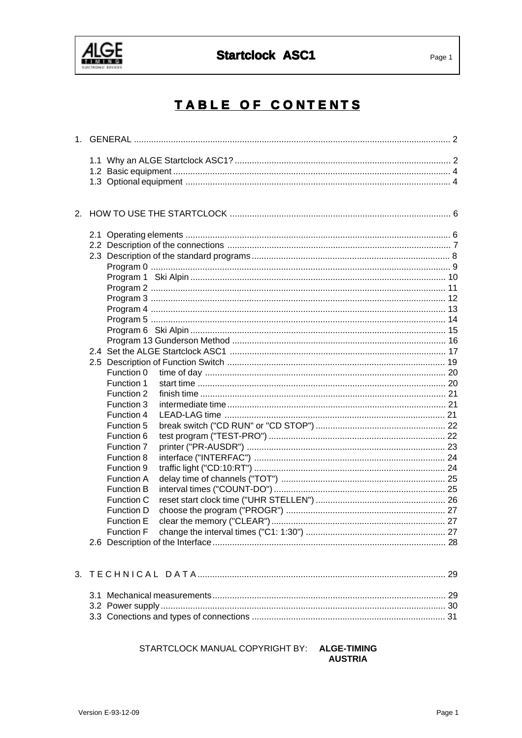

## **Startclock ASC1**

# TABLE OF CONTENTS

|  | Function 0<br>Function 1<br>Function 2<br>Function 3<br>Function 4<br>Function 5<br>Function 6<br>Function 7<br>Function 8<br>Function 9<br><b>Function A</b><br><b>Function B</b><br>Function C<br>Function D<br><b>Function E</b> |  |
|--|-------------------------------------------------------------------------------------------------------------------------------------------------------------------------------------------------------------------------------------|--|
|  |                                                                                                                                                                                                                                     |  |
|  |                                                                                                                                                                                                                                     |  |

#### STARTCLOCK MANUAL COPYRIGHT BY: ALGE-TIMING **AUSTRIA**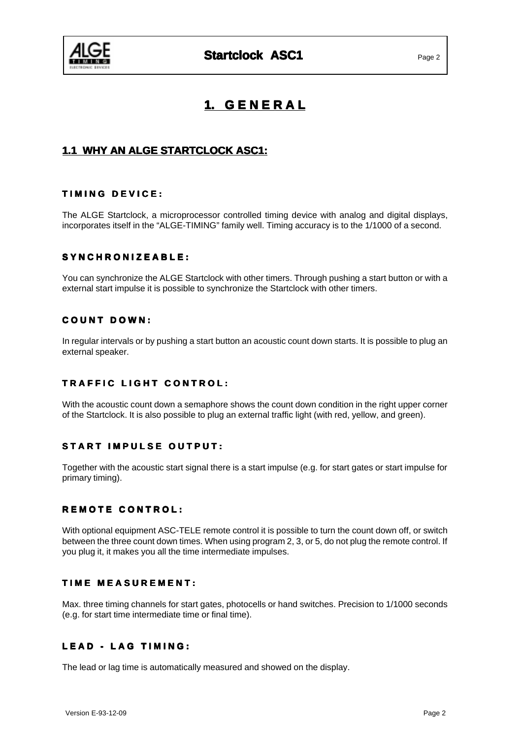

## **1. G E N E R A L**

## **1.1 WHY AN ALGE STARTCLOCK ASC1:**

#### **T I M I N G D E V I C E : D E V I :**

The ALGE Startclock, a microprocessor controlled timing device with analog and digital displays, incorporates itself in the "ALGE-TIMING" family well. Timing accuracy is to the 1/1000 of a second.

#### $SYNCHRONIZEABLE:$

You can synchronize the ALGE Startclock with other timers. Through pushing a start button or with a external start impulse it is possible to synchronize the Startclock with other timers.

#### **C O U N T D O W N : O U N D O :**

In regular intervals or by pushing a start button an acoustic count down starts. It is possible to plug an external speaker.

### **TRAFFIC LIGHT CONTROL:**

With the acoustic count down a semaphore shows the count down condition in the right upper corner of the Startclock. It is also possible to plug an external traffic light (with red, yellow, and green).

#### **START IMPULSE OUTPUT:**

Together with the acoustic start signal there is a start impulse (e.g. for start gates or start impulse for primary timing).

#### **REMOTE CONTROL:**

With optional equipment ASC-TELE remote control it is possible to turn the count down off, or switch between the three count down times. When using program 2, 3, or 5, do not plug the remote control. If you plug it, it makes you all the time intermediate impulses.

#### **TIME MEASUREMENT:**

Max. three timing channels for start gates, photocells or hand switches. Precision to 1/1000 seconds (e.g. for start time intermediate time or final time).

#### **LEAD - LAG TIMING:**

The lead or lag time is automatically measured and showed on the display.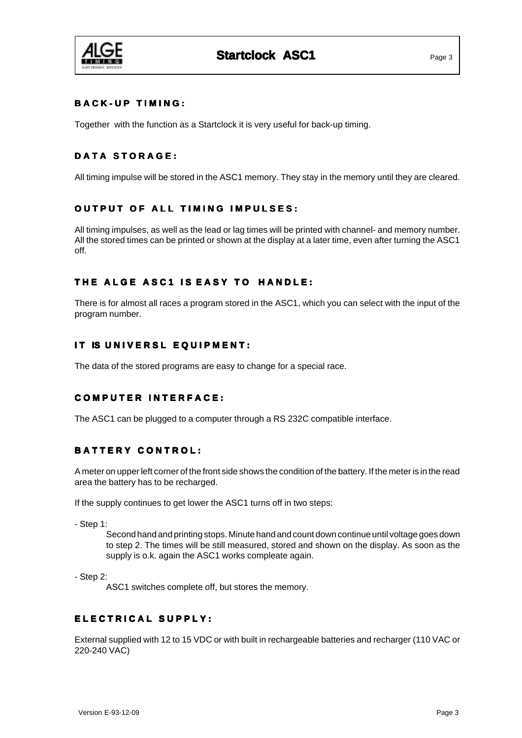

### **B A C K - U P T I M I N G : T I N G :**

Together with the function as a Startclock it is very useful for back-up timing.

#### **DATA STORAGE:**

All timing impulse will be stored in the ASC1 memory. They stay in the memory until they are cleared.

### **OUTPUT OF ALL TIMING IMPULSES:**

All timing impulses, as well as the lead or lag times will be printed with channel- and memory number. All the stored times can be printed or shown at the display at a later time, even after turning the ASC1 off.

#### **THE ALGE ASC1 IS EASY TO HANDLE:**

There is for almost all races a program stored in the ASC1, which you can select with the input of the program number.

#### **IT IS UNIVERSL EQUIPMENT:**

The data of the stored programs are easy to change for a special race.

### **COMPUTER INTERFACE:**

The ASC1 can be plugged to a computer through a RS 232C compatible interface.

#### **BATTERY CONTROL:**

A meter on upper left corner of the front side shows the condition of the battery. If the meter is in the read area the battery has to be recharged.

If the supply continues to get lower the ASC1 turns off in two steps:

- Step 1:

Second hand and printing stops. Minute hand and count down continue until voltage goes down to step 2. The times will be still measured, stored and shown on the display. As soon as the supply is o.k. again the ASC1 works compleate again.

- Step 2:

ASC1 switches complete off, but stores the memory.

## **E L E C T R I C A L S U P P L Y : E L T R I S U P P Y :**

External supplied with 12 to 15 VDC or with built in rechargeable batteries and recharger (110 VAC or 220-240 VAC)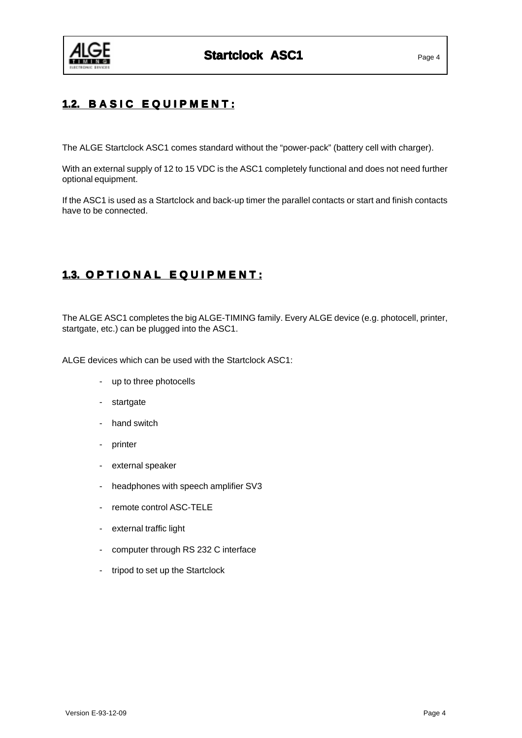

## **1.2. BASIC EQUIPMENT:**

The ALGE Startclock ASC1 comes standard without the "power-pack" (battery cell with charger).

With an external supply of 12 to 15 VDC is the ASC1 completely functional and does not need further optional equipment.

If the ASC1 is used as a Startclock and back-up timer the parallel contacts or start and finish contacts have to be connected.

## **1.3. OPTIONAL EQUIPMENT:**

The ALGE ASC1 completes the big ALGE-TIMING family. Every ALGE device (e.g. photocell, printer, startgate, etc.) can be plugged into the ASC1.

ALGE devices which can be used with the Startclock ASC1:

- up to three photocells
- startgate
- hand switch
- printer
- external speaker
- headphones with speech amplifier SV3
- remote control ASC-TELE
- external traffic light
- computer through RS 232 C interface
- tripod to set up the Startclock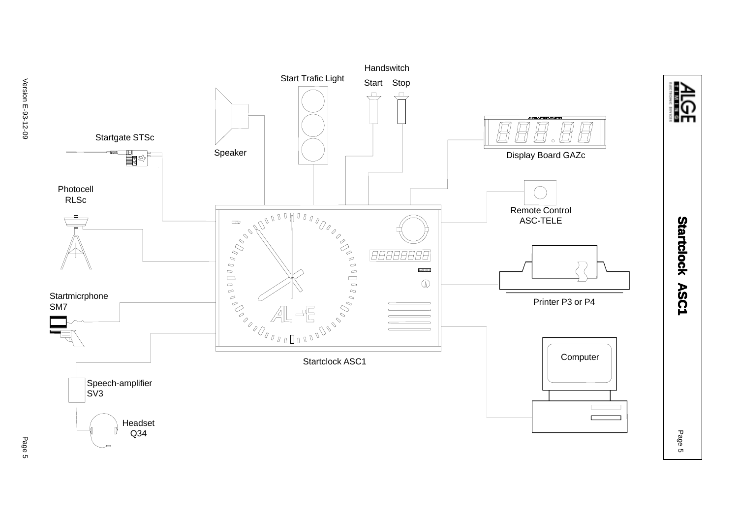

Version E-93-12-09 Version E-93-12-09

Page 5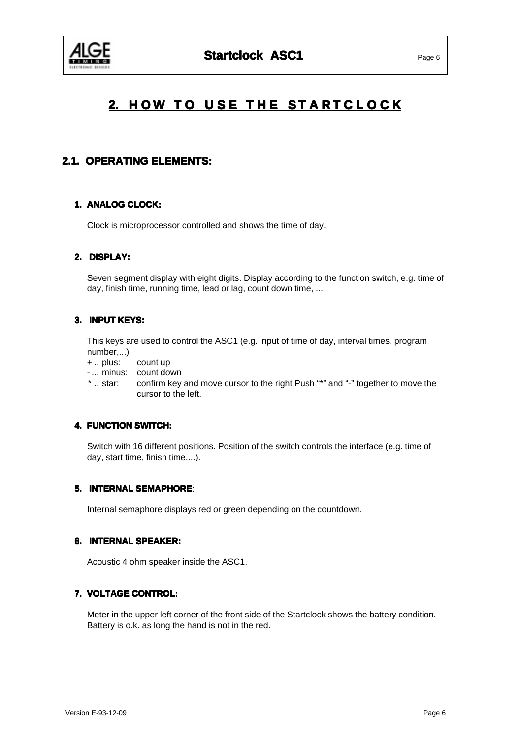

# **2. HOW TO USE THE STARTCLOCK**

## **2.1. OPERATING ELEMENTS: 2.1. OPERATING ELEMENTS:**

### **1. ANALOG CLOCK:**

Clock is microprocessor controlled and shows the time of day.

#### **2. DISPLAY: DISPLAY:**

Seven segment display with eight digits. Display according to the function switch, e.g. time of day, finish time, running time, lead or lag, count down time, ...

### **3. INPUT KEYS: INPUT KEYS:**

This keys are used to control the ASC1 (e.g. input of time of day, interval times, program number,...)

- + .. plus: count up
- ... minus: count down
- \* .. star: confirm key and move cursor to the right Push "\*" and "-" together to move the cursor to the left.

#### **4. FUNCTION SWITCH: SWITCH:**

Switch with 16 different positions. Position of the switch controls the interface (e.g. time of day, start time, finish time,...).

#### **5. INTERNAL SEMAPHORE**:

Internal semaphore displays red or green depending on the countdown.

#### **6. INTERNAL SPEAKER:**

Acoustic 4 ohm speaker inside the ASC1.

#### **7. VOLTAGE CONTROL:**

Meter in the upper left corner of the front side of the Startclock shows the battery condition. Battery is o.k. as long the hand is not in the red.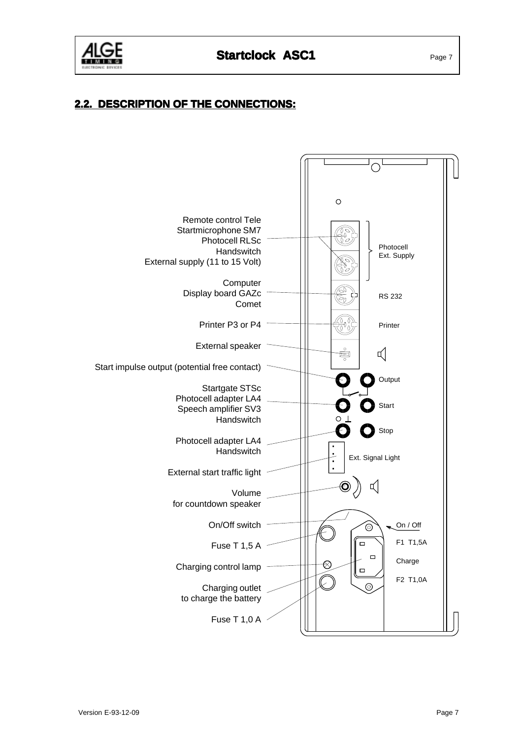

## **2.2. DESCRIPTION OF THE CONNECTIONS: 2.2. OF THE CONNECTIONS:**

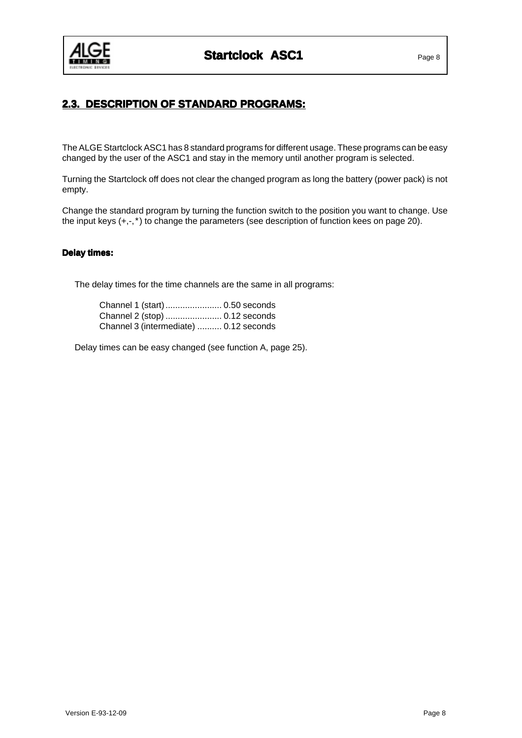

## **2.3. DESCRIPTION OF STANDARD PROGRAMS: 2.3. PROGRAMS:**

The ALGE Startclock ASC1 has 8 standard programs for different usage. These programs can be easy changed by the user of the ASC1 and stay in the memory until another program is selected.

Turning the Startclock off does not clear the changed program as long the battery (power pack) is not empty.

Change the standard program by turning the function switch to the position you want to change. Use the input keys (+,-,\*) to change the parameters (see description of function kees on page 20).

#### **Delay times: Delay times:**

The delay times for the time channels are the same in all programs:

| Channel 1 (start) 0.50 seconds         |  |
|----------------------------------------|--|
| Channel 2 (stop)  0.12 seconds         |  |
| Channel 3 (intermediate)  0.12 seconds |  |

Delay times can be easy changed (see function A, page 25).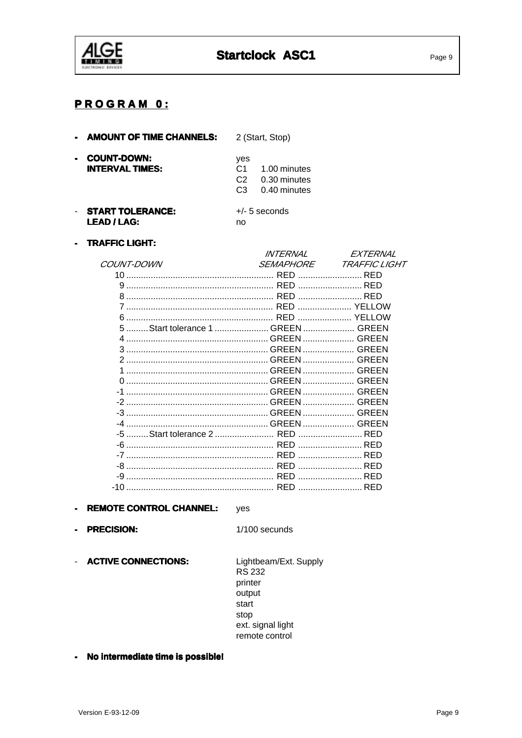

| $\sim$ | <b>AMOUNT OF TIME CHANNELS:</b>              |                                         | 2 (Start, Stop)                 |  |
|--------|----------------------------------------------|-----------------------------------------|---------------------------------|--|
|        | <b>COUNT-DOWN:</b><br><b>INTERVAL TIMES:</b> | yes<br>C <sub>1</sub><br>C <sub>2</sub> | 1.00 minutes<br>0.30 minutes    |  |
|        | <b>START TOLERANCE:</b>                      | C <sub>3</sub>                          | 0.40 minutes<br>$+/-$ 5 seconds |  |
|        |                                              |                                         |                                 |  |

**LEAD / LAG:** 

no

- TRAFFIC LIGHT:

|                                    | <i>INTFRNAI</i>  | <i><b>FXTFRNAI</b></i>  |
|------------------------------------|------------------|-------------------------|
| <i>COUNT-DOWN</i>                  | <i>SEMAPHORE</i> | <i>TRAFFIC LIGHT</i>    |
| 10 -                               |                  | RED                     |
|                                    |                  | <b>RFD</b>              |
| 8                                  |                  | <b>RFD</b>              |
| 7                                  |                  | YELLOW                  |
| 6                                  |                  | <b>ELLOW</b>            |
| 5  Start tolerance 1  GREEN  GREEN |                  |                         |
|                                    |                  |                         |
| 3                                  |                  |                         |
| 2                                  |                  |                         |
|                                    |                  |                         |
| ∩                                  |                  |                         |
|                                    |                  |                         |
|                                    |                  |                         |
| -3                                 |                  |                         |
|                                    |                  |                         |
| -5 Start tolerance 2  RED          |                  |                         |
| -6                                 |                  | RED                     |
|                                    |                  | the contract of the RFD |
| -8                                 |                  | <b>RFD</b>              |
|                                    |                  | RFD                     |
|                                    |                  | <b>RFD</b>              |

- REMOTE CONTROL CHANNEL: yes
- PRECISION:

1/100 secunds

- ACTIVE CONNECTIONS:

Lightbeam/Ext. Supply **RS 232** printer output start stop ext. signal light remote control

- No intermediate time is possible!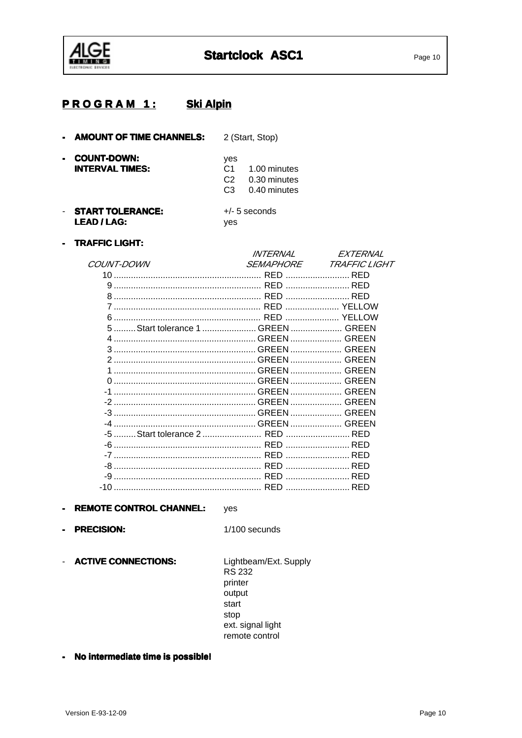

#### **Ski Alpin PROGRAM 1:**

- AMOUNT OF TIME CHANNELS: 2 (Start, Stop)

| - COUNT-DOWN:<br><b>INTERVAL TIMES:</b> | ves<br>C <sub>3</sub> | C <sub>1</sub> 1.00 minutes<br>C <sub>2</sub> 0.30 minutes<br>0.40 minutes |
|-----------------------------------------|-----------------------|----------------------------------------------------------------------------|
| ATI BT TAI FRINAP.                      |                       |                                                                            |

- START TOLERANCE:  $+/-$  5 seconds **LEAD / LAG:** yes
- TRAFFIC LIGHT:

|                 | <i>INTERNAL</i>  | <i>FXTFRNAI</i>      |
|-----------------|------------------|----------------------|
| COUNT-DOWN      | <i>SEMAPHORE</i> | <b>TRAFFIC LIGHT</b> |
| 10 <sub>1</sub> |                  | RED                  |
|                 |                  |                      |
|                 |                  |                      |
|                 |                  |                      |
|                 |                  |                      |
|                 |                  |                      |
| 4               |                  |                      |
|                 |                  |                      |
|                 |                  |                      |
|                 |                  |                      |
|                 |                  |                      |
|                 |                  |                      |
|                 |                  |                      |
|                 |                  |                      |
| -4              |                  |                      |
|                 |                  |                      |
|                 |                  |                      |
|                 |                  |                      |
|                 |                  |                      |
| -9              |                  | RED                  |
| -10             |                  |                      |
|                 |                  |                      |

- REMOTE CONTROL CHANNEL: yes
- PRECISION:

 $1/100$  secunds

- ACTIVE CONNECTIONS: Lightbeam/Ext. Supply **RS 232** printer output start stop ext. signal light remote control
- No intermediate time is possible!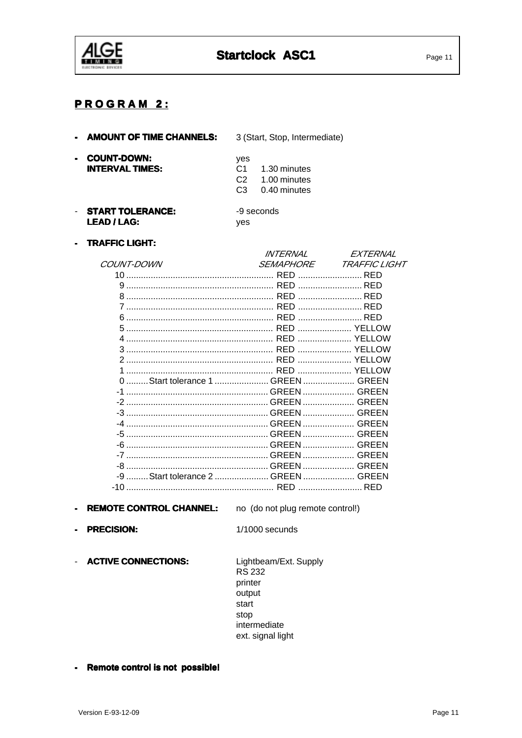

## **PROGRAM 2:**

| - AMOUNT OF TIME CHANNELS:                                     | 3 (Start, Stop, Intermediate)                                                                 |
|----------------------------------------------------------------|-----------------------------------------------------------------------------------------------|
| <b>COUNT-DOWN:</b><br>$\blacksquare$<br><b>INTERVAL TIMES:</b> | yes<br>C <sub>1</sub><br>1.30 minutes<br>1.00 minutes<br>C2<br>0.40 minutes<br>C <sub>3</sub> |
| <b>START TOLERANCE:</b><br><b>LEAD/LAG:</b>                    | -9 seconds<br>ves                                                                             |

#### - TRAFFIC LIGHT:

|                                       | <i>INTERNAL</i>  | EXTERNAL                    |
|---------------------------------------|------------------|-----------------------------|
| <i>COUNT-DOWN</i>                     | <i>SEMAPHORE</i> | <i><b>TRAFFIC LIGHT</b></i> |
| 10                                    |                  | <b>RFD</b>                  |
|                                       |                  | <b>RFD</b>                  |
| 8                                     |                  |                             |
|                                       |                  | RED                         |
| ี                                     |                  | <b>RFD</b>                  |
| 5                                     |                  | <b>ELLOW</b>                |
|                                       |                  |                             |
| 3                                     |                  |                             |
|                                       |                  |                             |
|                                       |                  |                             |
| Start tolerance 1  GREEN  GREEN<br>0  |                  |                             |
|                                       |                  | <b>Example 2</b> GREEN      |
|                                       |                  | <b>Example 2</b> GREEN      |
| -3                                    |                  |                             |
|                                       |                  |                             |
| -5                                    |                  | GREEN                       |
| -6                                    |                  | <b>Example 2</b> GREEN      |
| -7                                    |                  | GREFN                       |
| -8                                    |                  | GREEN                       |
| Start tolerance 2  GREEN  GREEN<br>-9 |                  |                             |
| -10                                   |                  |                             |
|                                       |                  |                             |

- REMOTE CONTROL CHANNEL:

no (do not plug remote control!)

- PRECISION:

 $1/1000$  secunds

- ACTIVE CONNECTIONS:

Lightbeam/Ext. Supply **RS 232** printer output start stop intermediate ext. signal light

- Remote control is not possible!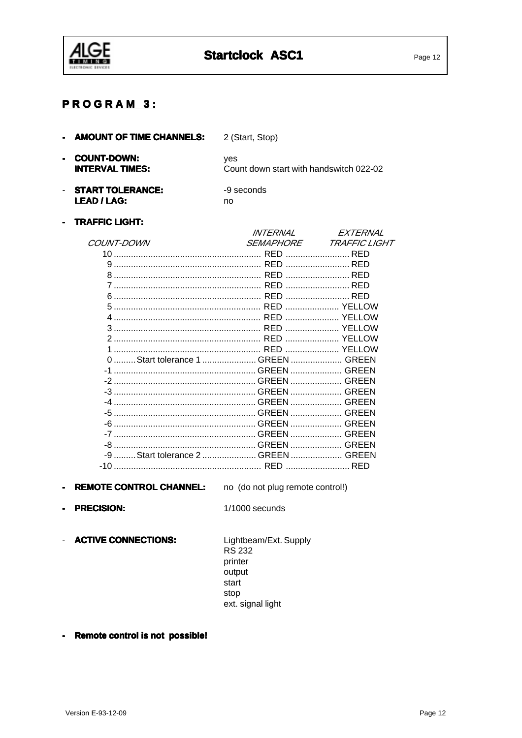

2 (Start, Stop)

## **PROGRAM 3:**

| - COUNT-DOWN:<br><b>INTERVAL TIMES:</b> | ves<br>Count down start with handswitch 022-02 |
|-----------------------------------------|------------------------------------------------|
|                                         |                                                |

- START TOLERANCE: -9 seconds **LEAD / LAG:** no

- AMOUNT OF TIME CHANNELS:

#### - TRAFFIC LIGHT:

|                                     | <i>INTFRNAI</i>  | <i><b>FXTERNAI</b></i> |
|-------------------------------------|------------------|------------------------|
| <i>COUNT-DOWN</i>                   | <i>SEMAPHORE</i> | <b>TRAFFIC LIGHT</b>   |
| 10                                  |                  | RED                    |
|                                     |                  |                        |
| 8                                   |                  |                        |
|                                     |                  |                        |
|                                     |                  |                        |
| 5                                   |                  |                        |
|                                     |                  |                        |
| 3                                   |                  |                        |
| 2                                   |                  |                        |
|                                     |                  |                        |
|                                     |                  |                        |
| $-1$                                |                  |                        |
|                                     |                  |                        |
| -3                                  |                  |                        |
|                                     |                  |                        |
| -5                                  |                  |                        |
|                                     |                  |                        |
| -7                                  |                  |                        |
| -8                                  |                  |                        |
| -9  Start tolerance 2  GREEN  GREEN |                  |                        |
| $-10$                               |                  | RED                    |
|                                     |                  |                        |

- REMOTE CONTROL CHANNEL: no (do not plug remote control!)
- PRECISION:

 $1/1000$  secunds

- ACTIVE CONNECTIONS:

Lightbeam/Ext. Supply **RS 232** printer .<br>output start stop ext. signal light

- Remote control is not possible!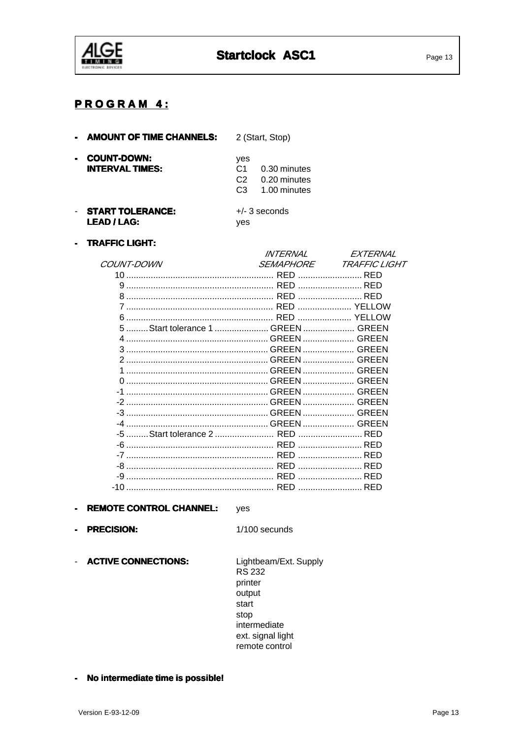

## **PROGRAM 4:**

| <b>AMOUNT OF TIME CHANNELS:</b>              |                                                           | 2 (Start, Stop)                              |  |
|----------------------------------------------|-----------------------------------------------------------|----------------------------------------------|--|
| <b>COUNT-DOWN:</b><br><b>INTERVAL TIMES:</b> | yes<br>C <sub>1</sub><br>C <sub>2</sub><br>C <sub>3</sub> | 0.30 minutes<br>0.20 minutes<br>1.00 minutes |  |
| <b>START TOLERANCE:</b><br><b>LEAD/LAG:</b>  | ves                                                       | $+/-$ 3 seconds                              |  |

#### - TRAFFIC LIGHT:

| <i>INTFRNAI</i>                    | <i><b>FXTERNAI</b></i>      |
|------------------------------------|-----------------------------|
| <i>SEMAPHORE</i>                   | <b>TRAFFIC LIGHT</b>        |
|                                    | RED                         |
|                                    | RED                         |
|                                    |                             |
|                                    |                             |
|                                    |                             |
| 5  Start tolerance 1  GREEN  GREEN |                             |
|                                    |                             |
|                                    |                             |
|                                    |                             |
|                                    |                             |
|                                    |                             |
|                                    |                             |
|                                    |                             |
|                                    |                             |
|                                    |                             |
|                                    |                             |
|                                    |                             |
|                                    | in the contract of the RFD. |
|                                    |                             |
|                                    | RED                         |
|                                    |                             |
|                                    |                             |

#### - REMOTE CONTROL CHANNEL: yes

- PRECISION:

1/100 secunds

- ACTIVE CONNECTIONS:

Lightbeam/Ext. Supply **RS 232** printer output start stop intermediate ext. signal light remote control

- No intermediate time is possible!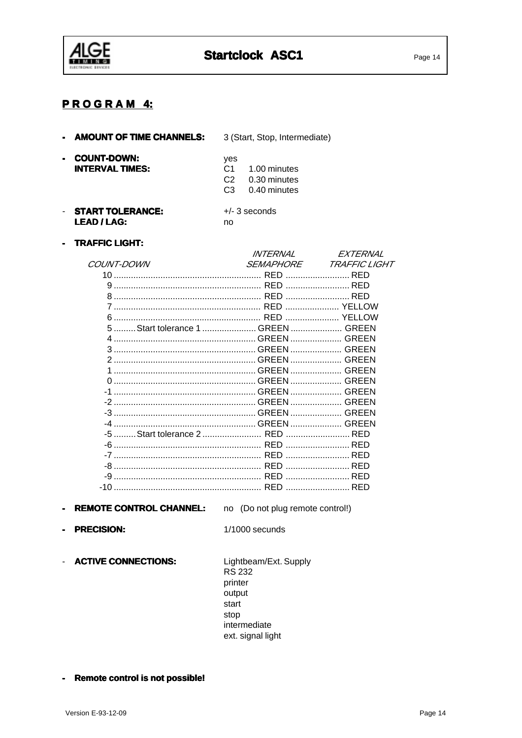

## **PROGRAM 4:**

| <b>AMOUNT OF TIME CHANNELS:</b>              | 3 (Start, Stop, Intermediate)                                                                             |
|----------------------------------------------|-----------------------------------------------------------------------------------------------------------|
| <b>COUNT-DOWN:</b><br><b>INTERVAL TIMES:</b> | yes<br>C <sub>1</sub><br>1.00 minutes<br>0.30 minutes<br>C <sub>2</sub><br>C <sub>3</sub><br>0.40 minutes |
| <b>START TOLERANCE:</b><br>LEAD / LAG:       | $+/-$ 3 seconds<br>no                                                                                     |

- TRAFFIC LIGHT:

|                   | <i>INTFRNAI</i> | <i>FXTFRNAI</i>         |
|-------------------|-----------------|-------------------------|
| <i>COUNT-DOWN</i> | SEMAPHORE       | <b>TRAFFIC LIGHT</b>    |
| 10                |                 |                         |
|                   |                 |                         |
|                   |                 |                         |
|                   |                 |                         |
|                   |                 | YELLOW                  |
|                   |                 |                         |
|                   |                 |                         |
|                   |                 |                         |
|                   |                 |                         |
|                   |                 |                         |
|                   |                 |                         |
|                   |                 |                         |
|                   |                 |                         |
|                   |                 |                         |
|                   |                 |                         |
|                   |                 |                         |
|                   |                 |                         |
|                   |                 |                         |
|                   |                 |                         |
|                   |                 | the contract of the RFD |
|                   |                 | RED                     |
|                   |                 |                         |

- REMOTE CONTROL CHANNEL:

no (Do not plug remote control!)

- PRECISION:

 $1/1000$  secunds

- ACTIVE CONNECTIONS:

Lightbeam/Ext. Supply **RS 232** printer output start stop intermediate ext. signal light

- Remote control is not possible!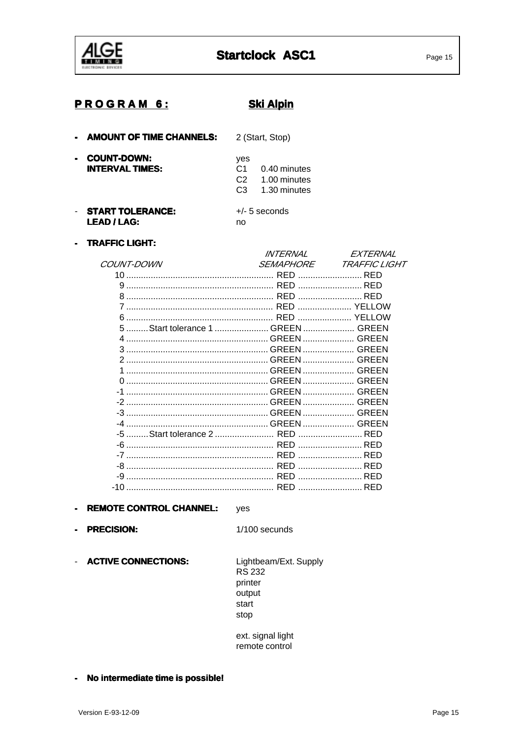

## **PROGRAM 6:**

**Ski Alpin** 

| <b>AMOUNT OF TIME CHANNELS:</b>                                | 2 (Start, Stop)                                                                                 |
|----------------------------------------------------------------|-------------------------------------------------------------------------------------------------|
| <b>COUNT-DOWN:</b><br>$\blacksquare$<br><b>INTERVAL TIMES:</b> | yes<br>C <sub>1</sub><br>$0.40$ minutes<br>1.00 minutes<br>C <sub>2</sub><br>1.30 minutes<br>CЗ |
| <b>START TOLERANCE:</b><br>LEAD / LAG:                         | $+/-$ 5 seconds<br>no                                                                           |

- TRAFFIC LIGHT:

|                                    | <i>INTFRNAI</i>  | <i>FXTFRN</i>               |
|------------------------------------|------------------|-----------------------------|
| <i>COUNT-DOWN</i>                  | <i>SEMAPHORE</i> | <i><b>TRAFFIC LIGHT</b></i> |
| 10.                                |                  | RED                         |
|                                    |                  |                             |
|                                    |                  |                             |
|                                    |                  |                             |
| 6                                  |                  |                             |
| 5  Start tolerance 1  GREEN  GREEN |                  |                             |
|                                    |                  |                             |
|                                    |                  |                             |
|                                    |                  |                             |
|                                    |                  |                             |
|                                    |                  |                             |
|                                    |                  |                             |
| -2                                 |                  |                             |
|                                    |                  |                             |
|                                    |                  |                             |
|                                    |                  |                             |
|                                    |                  |                             |
|                                    |                  | RED                         |
| -8                                 |                  | RED                         |
| -9                                 |                  | RED                         |
| -10                                |                  |                             |

#### - REMOTE CONTROL CHANNEL: yes

- PRECISION:

1/100 secunds

- ACTIVE CONNECTIONS:

Lightbeam/Ext. Supply **RS 232** printer output start stop

ext. signal light remote control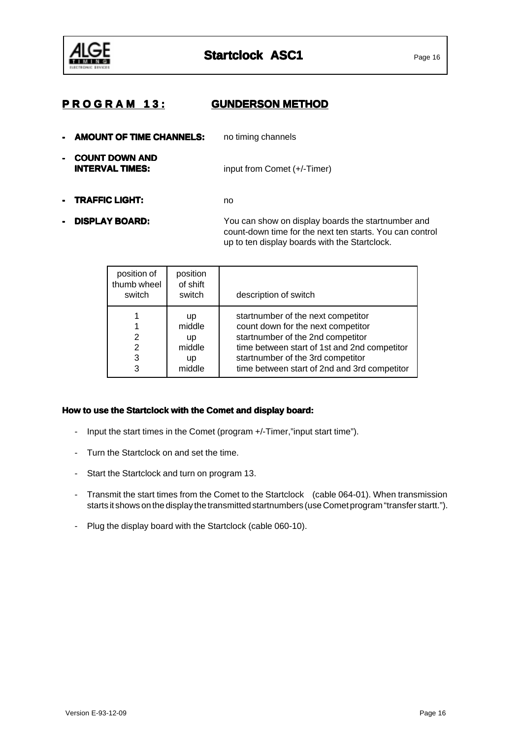

## **P R O G R A M 1 3 : P R O GUNDERSON METHOD**

- **AMOUNT OF TIME CHANNELS:** no timing channels **COUNT DOWN AND<br>INTERVAL TIMES: Input from Comet (+/-Timer)**
- **- TRAFFIC LIGHT: TRAFFIC LIGHT:**no
- 

**DISPLAY BOARD:** You can show on display boards the startnumber and count-down time for the next ten starts. You can control up to ten display boards with the Startclock.

| position of<br>thumb wheel<br>switch | position<br>of shift<br>switch               | description of switch                                                                                                                                                                                                                              |
|--------------------------------------|----------------------------------------------|----------------------------------------------------------------------------------------------------------------------------------------------------------------------------------------------------------------------------------------------------|
| 2<br>2<br>3<br>3                     | up<br>middle<br>up<br>middle<br>up<br>middle | startnumber of the next competitor<br>count down for the next competitor<br>startnumber of the 2nd competitor<br>time between start of 1st and 2nd competitor<br>startnumber of the 3rd competitor<br>time between start of 2nd and 3rd competitor |

#### How to use the Startclock with the Comet and display board:

- Input the start times in the Comet (program +/-Timer,"input start time").
- Turn the Startclock on and set the time.
- Start the Startclock and turn on program 13.
- Transmit the start times from the Comet to the Startclock (cable 064-01). When transmission starts it shows on the display the transmitted startnumbers (use Comet program "transfer startt.").
- Plug the display board with the Startclock (cable 060-10).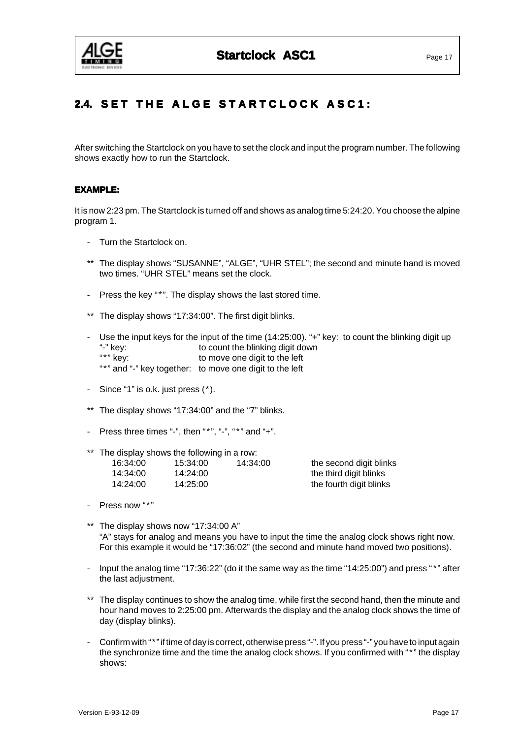

## **2.4. SET THE ALGE STARTCLOCK ASC1:**

After switching the Startclock on you have to set the clock and input the program number. The following shows exactly how to run the Startclock.

#### **EXAMPLE: EXAMPLE:**

It is now 2:23 pm. The Startclock is turned off and shows as analog time 5:24:20. You choose the alpine program 1.

- Turn the Startclock on.
- \*\* The display shows "SUSANNE", "ALGE", "UHR STEL"; the second and minute hand is moved two times. "UHR STEL" means set the clock.
- Press the key "\*". The display shows the last stored time.
- \*\* The display shows "17:34:00". The first digit blinks.
- Use the input keys for the input of the time (14:25:00). "+" key: to count the blinking digit up "-" key:<br>"\*" key: to move one digit to the left to move one digit to the left "\*" and "-" key together: to move one digit to the left
- Since "1" is o.k. just press  $(*)$ .
- \*\* The display shows "17:34:00" and the "7" blinks.
- Press three times "-", then " $*$ ", "-", " $*$ " and "+".
- \*\* The display shows the following in a row:

| 16:34:00 | 15:34:00 | 14:34:00 |
|----------|----------|----------|
| 14:34:00 | 14:24:00 |          |
| 14:24:00 | 14:25:00 |          |

16:34:00 16:34:00 15:34:00 the second digit blinks the third digit blinks the fourth digit blinks

- Press now "\*"
- \*\* The display shows now "17:34:00 A" "A" stays for analog and means you have to input the time the analog clock shows right now. For this example it would be "17:36:02" (the second and minute hand moved two positions).
- Input the analog time "17:36:22" (do it the same way as the time "14:25:00") and press "\*" after the last adjustment.
- \*\* The display continues to show the analog time, while first the second hand, then the minute and hour hand moves to 2:25:00 pm. Afterwards the display and the analog clock shows the time of day (display blinks).
- Confirm with "\*" if time of day is correct, otherwise press "-". If you press "-" you have to input again the synchronize time and the time the analog clock shows. If you confirmed with "\*" the display shows: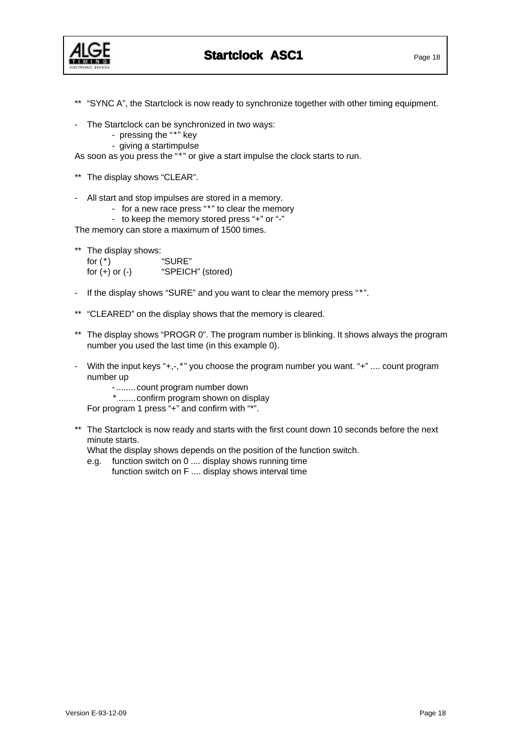

**Startclock ASC1** Page 18

\*\* "SYNC A", the Startclock is now ready to synchronize together with other timing equipment.

- The Startclock can be synchronized in two ways:
	- pressing the "\*" key
	- giving a startimpulse

As soon as you press the "\*" or give a start impulse the clock starts to run.

- \*\* The display shows "CLEAR".
- All start and stop impulses are stored in a memory.
	- for a new race press "\*" to clear the memory
	- to keep the memory stored press "+" or "-"

The memory can store a maximum of 1500 times.

\*\* The display shows:

for (\*) "SURE" for (+) or (-) "SPEICH" (stored)

- If the display shows "SURE" and you want to clear the memory press "\*".
- \*\* "CLEARED" on the display shows that the memory is cleared.
- \*\* The display shows "PROGR 0". The program number is blinking. It shows always the program number you used the last time (in this example 0).
- With the input keys "+,-,\*" you choose the program number you want. "+" .... count program number up
	- ........count program number down
	- \* .......confirm program shown on display

For program 1 press "+" and confirm with "\*".

\*\* The Startclock is now ready and starts with the first count down 10 seconds before the next minute starts.

What the display shows depends on the position of the function switch.

e.g. function switch on 0 .... display shows running time function switch on F .... display shows interval time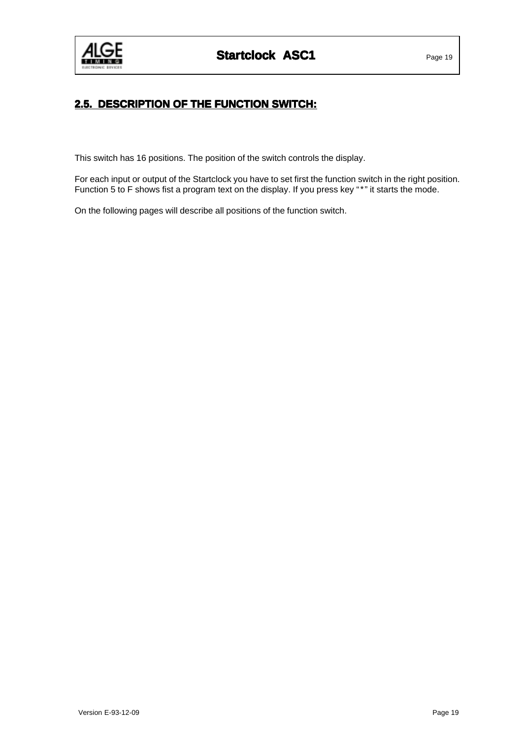

## **2.5. DESCRIPTION OF THE FUNCTION SWITCH:**

This switch has 16 positions. The position of the switch controls the display.

For each input or output of the Startclock you have to set first the function switch in the right position. Function 5 to F shows fist a program text on the display. If you press key "\*" it starts the mode.

On the following pages will describe all positions of the function switch.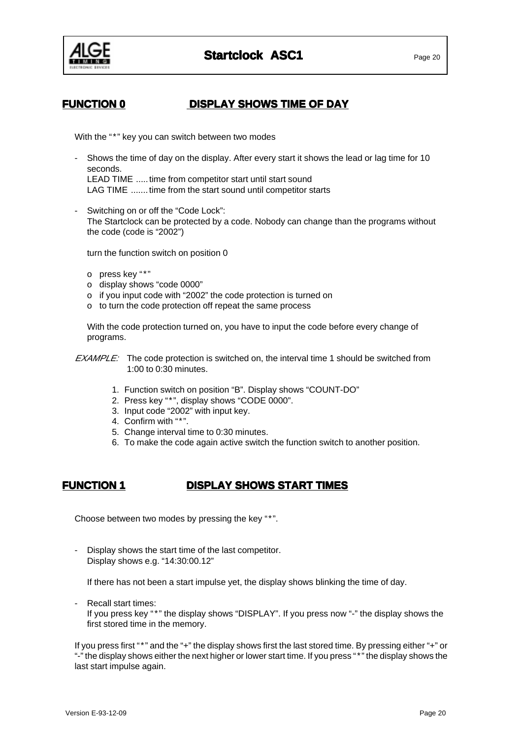

## **FUNCTION 0 DISPLAY SHOWS TIME OF DAY**

With the "\*" key you can switch between two modes

- Shows the time of day on the display. After every start it shows the lead or lag time for 10 seconds. LEAD TIME .....time from competitor start until start sound LAG TIME .......time from the start sound until competitor starts
- Switching on or off the "Code Lock": The Startclock can be protected by a code. Nobody can change than the programs without the code (code is "2002")

turn the function switch on position 0

- o press key "\*"
- o display shows "code 0000"
- o if you input code with "2002" the code protection is turned on
- o to turn the code protection off repeat the same process

With the code protection turned on, you have to input the code before every change of programs.

- EXAMPLE: The code protection is switched on, the interval time 1 should be switched from 1:00 to 0:30 minutes.
	- 1. Function switch on position "B". Display shows "COUNT-DO"
	- 2. Press key "\*", display shows "CODE 0000".
	- 3. Input code "2002" with input key.
	- 4. Confirm with "\*".
	- 5. Change interval time to 0:30 minutes.
	- 6. To make the code again active switch the function switch to another position.

## **FUNCTION 1 DISPLAY SHOWS START TIMES**

Choose between two modes by pressing the key "\*".

Display shows the start time of the last competitor. Display shows e.g. "14:30:00.12"

If there has not been a start impulse yet, the display shows blinking the time of day.

- Recall start times: If you press key "\*" the display shows "DISPLAY". If you press now "-" the display shows the first stored time in the memory.

If you press first "\*" and the "+" the display shows first the last stored time. By pressing either "+" or "-" the display shows either the next higher or lower start time. If you press "\*" the display shows the last start impulse again.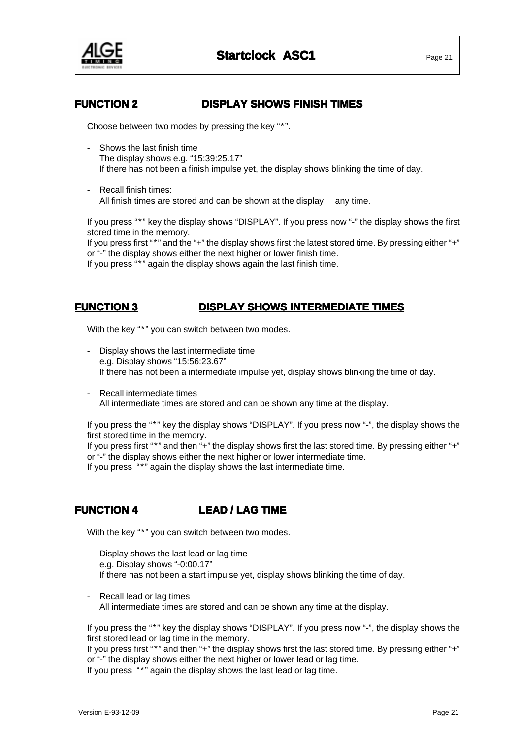

### **FUNCTION 2 DISPLAY SHOWS FINISH TIMES**

Choose between two modes by pressing the key "\*".

- Shows the last finish time The display shows e.g. "15:39:25.17" If there has not been a finish impulse yet, the display shows blinking the time of day.
- Recall finish times: All finish times are stored and can be shown at the display any time.

If you press "\*" key the display shows "DISPLAY". If you press now "-" the display shows the first stored time in the memory.

If you press first "\*" and the "+" the display shows first the latest stored time. By pressing either "+" or "-" the display shows either the next higher or lower finish time.

If you press "\*" again the display shows again the last finish time.

## **FUNCTION 3 DISPLAY SHOWS INTERMEDIATE TIMES**

With the key "\*" you can switch between two modes.

- Display shows the last intermediate time e.g. Display shows "15:56:23.67" If there has not been a intermediate impulse yet, display shows blinking the time of day.
- Recall intermediate times All intermediate times are stored and can be shown any time at the display.

If you press the "\*" key the display shows "DISPLAY". If you press now "-", the display shows the first stored time in the memory.

If you press first "\*" and then "+" the display shows first the last stored time. By pressing either "+" or "-" the display shows either the next higher or lower intermediate time.

If you press "\*" again the display shows the last intermediate time.

## **FUNCTION 4 LEAD / LAG TIME**

With the key "\*" you can switch between two modes.

- Display shows the last lead or lag time e.g. Display shows "-0:00.17" If there has not been a start impulse yet, display shows blinking the time of day.
- Recall lead or lag times All intermediate times are stored and can be shown any time at the display.

If you press the "\*" key the display shows "DISPLAY". If you press now "-", the display shows the first stored lead or lag time in the memory.

If you press first "\*" and then "+" the display shows first the last stored time. By pressing either "+" or "-" the display shows either the next higher or lower lead or lag time. If you press "\*" again the display shows the last lead or lag time.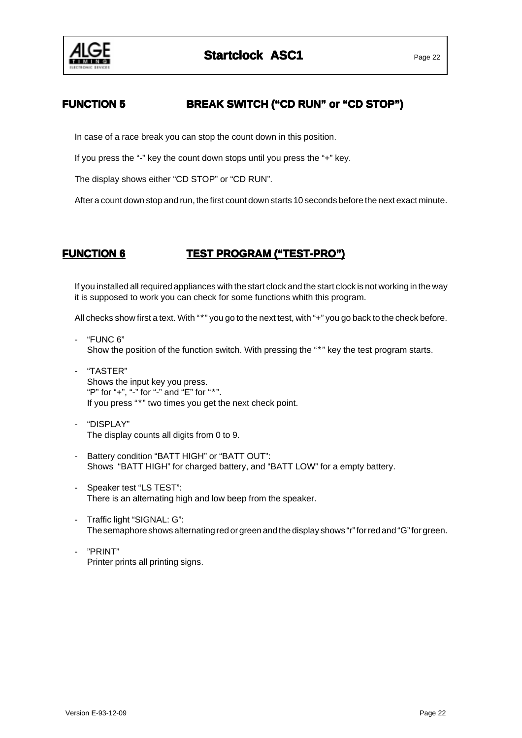

## **FUNCTION 5 BREAK SWITCH ("CD RUN" or "CD STOP")**

In case of a race break you can stop the count down in this position.

If you press the "-" key the count down stops until you press the "+" key.

The display shows either "CD STOP" or "CD RUN".

After a count down stop and run, the first count down starts 10 seconds before the next exact minute.

## **FUNCTION 6 TEST PROGRAM ("TEST-PRO") TEST PROGRAM ("TEST-PRO")**

If you installed all required appliances with the start clock and the start clock is not working in the way it is supposed to work you can check for some functions whith this program.

All checks show first a text. With "\*" you go to the next test, with "+" you go back to the check before.

- "FUNC 6" Show the position of the function switch. With pressing the "\*" key the test program starts.
- "TASTER" Shows the input key you press. "P" for "+", "-" for "-" and "E" for "\*". If you press "\*" two times you get the next check point.
- "DISPLAY" The display counts all digits from 0 to 9.
- Battery condition "BATT HIGH" or "BATT OUT": Shows "BATT HIGH" for charged battery, and "BATT LOW" for a empty battery.
- Speaker test "LS TEST": There is an alternating high and low beep from the speaker.
- Traffic light "SIGNAL: G": The semaphore shows alternating red or green and the display shows "r" for red and "G" for green.
- "PRINT" Printer prints all printing signs.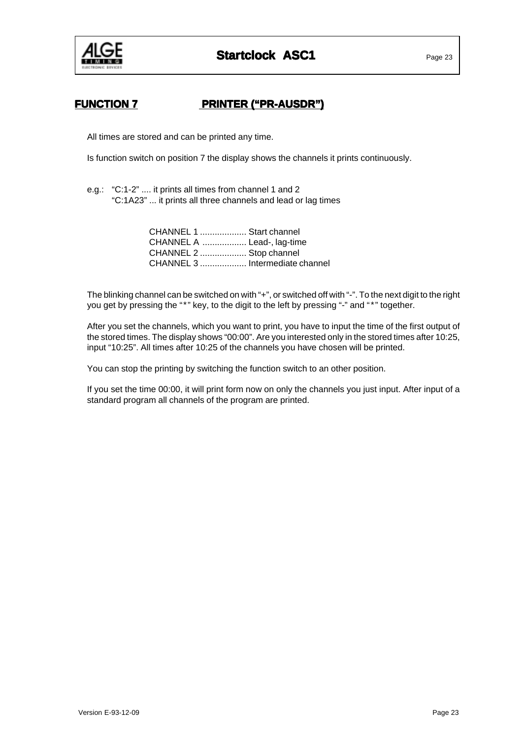

## **FUNCTION 7 PRINTER ("PR-AUSDR") ("PR-AUSDR")**

All times are stored and can be printed any time.

Is function switch on position 7 the display shows the channels it prints continuously.

e.g.: "C:1-2" .... it prints all times from channel 1 and 2 "C:1A23" ... it prints all three channels and lead or lag times

| CHANNEL 1  Start channel        |  |
|---------------------------------|--|
| CHANNEL A  Lead-, lag-time      |  |
| CHANNEL 2  Stop channel         |  |
| CHANNEL 3  Intermediate channel |  |

The blinking channel can be switched on with "+", or switched off with "-". To the next digit to the right you get by pressing the "\*" key, to the digit to the left by pressing "-" and "\*" together.

After you set the channels, which you want to print, you have to input the time of the first output of the stored times. The display shows "00:00". Are you interested only in the stored times after 10:25, input "10:25". All times after 10:25 of the channels you have chosen will be printed.

You can stop the printing by switching the function switch to an other position.

If you set the time 00:00, it will print form now on only the channels you just input. After input of a standard program all channels of the program are printed.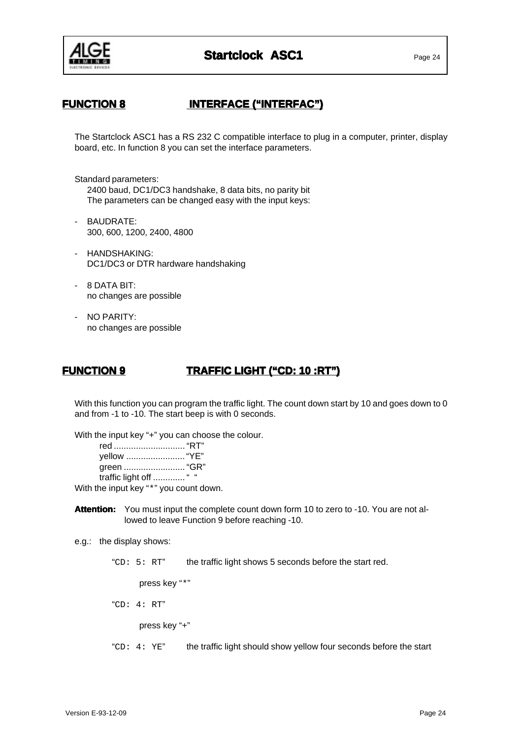

## **FUNCTION 8 INTERFACE ("INTERFAC") ("INTERFAC")**

The Startclock ASC1 has a RS 232 C compatible interface to plug in a computer, printer, display board, etc. In function 8 you can set the interface parameters.

Standard parameters:

2400 baud, DC1/DC3 handshake, 8 data bits, no parity bit The parameters can be changed easy with the input keys:

- BAUDRATE: 300, 600, 1200, 2400, 4800
- HANDSHAKING: DC1/DC3 or DTR hardware handshaking
- 8 DATA BIT: no changes are possible
- NO PARITY: no changes are possible

## **FUNCTION 9 TRAFFIC LIGHT ("CD: 10 :RT") TRAFFIC LIGHT ("CD: 10 :RT")**

With this function you can program the traffic light. The count down start by 10 and goes down to 0 and from -1 to -10. The start beep is with 0 seconds.

With the input key "+" you can choose the colour.

| traffic light off  " " |  |
|------------------------|--|

With the input key "\*" you count down.

- **Attention:** You must input the complete count down form 10 to zero to -10. You are not allowed to leave Function 9 before reaching -10.
- e.g.: the display shows:

"CD: 5: RT" the traffic light shows 5 seconds before the start red.

press key "\*"

"CD: 4: RT"

press key "+"

" $CD: 4: YE"$  the traffic light should show yellow four seconds before the start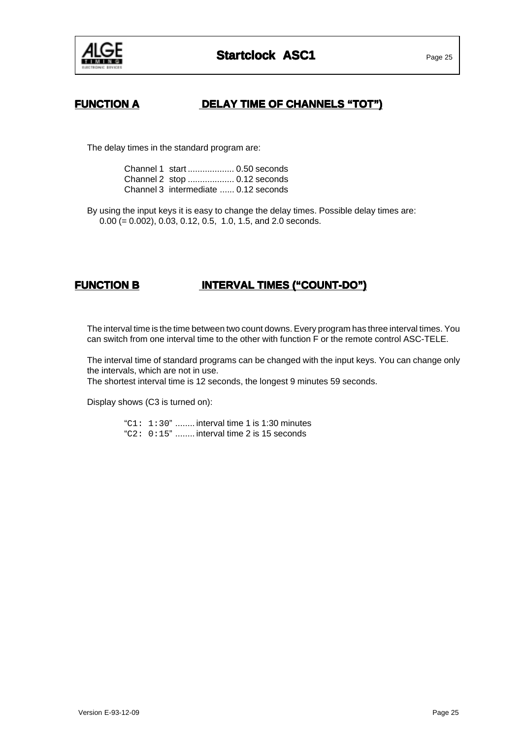

## **FUNCTION A DELAY TIME OF CHANNELS "TOT")**

The delay times in the standard program are:

Channel 1 start ................... 0.50 seconds Channel 2 stop ................... 0.12 seconds Channel 3 intermediate ...... 0.12 seconds

By using the input keys it is easy to change the delay times. Possible delay times are: 0.00 (= 0.002), 0.03, 0.12, 0.5, 1.0, 1.5, and 2.0 seconds.

## **FUNCTION B INTERVAL TIMES ("COUNT-DO") INTERVAL TIMES ("COUNT-DO")**

The interval time is the time between two count downs. Every program has three interval times. You can switch from one interval time to the other with function F or the remote control ASC-TELE.

The interval time of standard programs can be changed with the input keys. You can change only the intervals, which are not in use.

The shortest interval time is 12 seconds, the longest 9 minutes 59 seconds.

Display shows (C3 is turned on):

" $C1: 1:30"$  ........ interval time 1 is 1:30 minutes "C2: 0:15" ........ interval time 2 is 15 seconds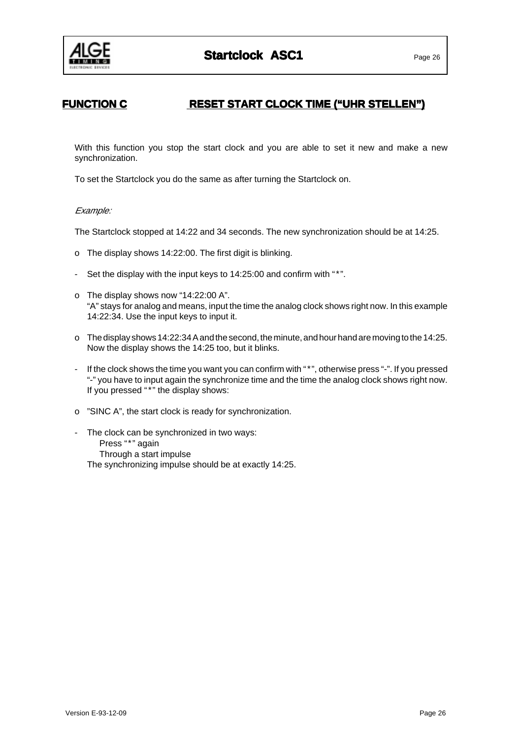

## **FUNCTION C RESET START CLOCK TIME ("UHR STELLEN")**

With this function you stop the start clock and you are able to set it new and make a new synchronization.

To set the Startclock you do the same as after turning the Startclock on.

#### Example:

The Startclock stopped at 14:22 and 34 seconds. The new synchronization should be at 14:25.

- o The display shows 14:22:00. The first digit is blinking.
- Set the display with the input keys to 14:25:00 and confirm with "\*".
- o The display shows now "14:22:00 A". "A" stays for analog and means, input the time the analog clock shows right now. In this example 14:22:34. Use the input keys to input it.
- o The display shows 14:22:34 A and the second, the minute, and hour hand are moving to the 14:25. Now the display shows the 14:25 too, but it blinks.
- If the clock shows the time you want you can confirm with "\*", otherwise press "-". If you pressed "-" you have to input again the synchronize time and the time the analog clock shows right now. If you pressed "\*" the display shows:
- o "SINC A", the start clock is ready for synchronization.
- The clock can be synchronized in two ways: Press "\*" again Through a start impulse The synchronizing impulse should be at exactly 14:25.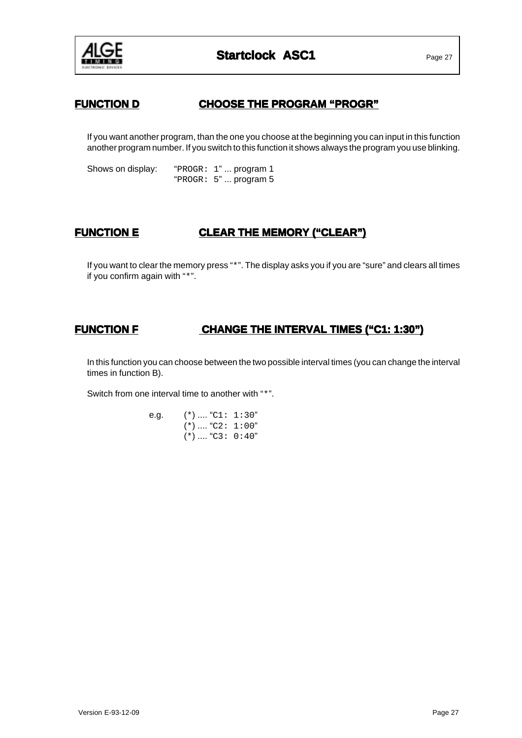

## **FUNCTION D CHOOSE THE PROGRAM "PROGR"**

If you want another program, than the one you choose at the beginning you can input in this function another program number. If you switch to this function it shows always the program you use blinking.

Shows on display: "PROGR: 1"... program 1 "PROGR: 5" ... program 5

## **FUNCTION E CLEAR THE MEMORY ("CLEAR")**

If you want to clear the memory press "\*". The display asks you if you are "sure" and clears all times if you confirm again with "\*".

## **FUNCTION F CHANGE THE INTERVAL TIMES ("C1: 1:30")**

In this function you can choose between the two possible interval times (you can change the interval times in function B).

Switch from one interval time to another with "\*".

e.g. (\*) .... "C1: 1:30"  $(*)$  .... "C2: 1:00"  $(*)$  .... "C3: 0:40"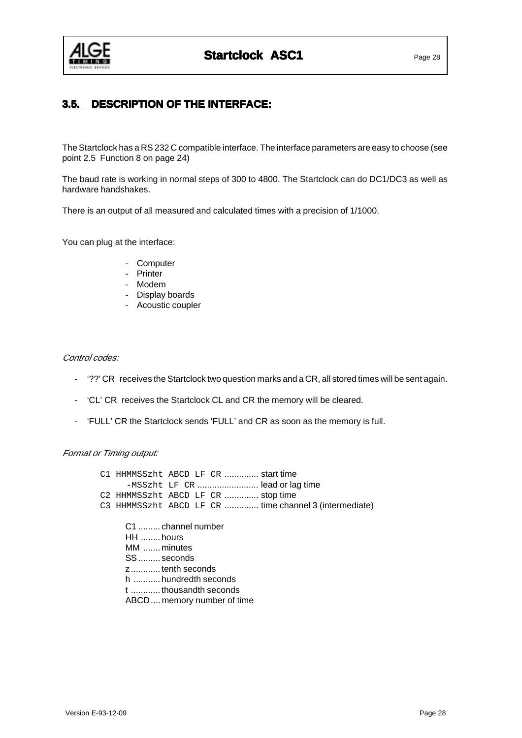

## **3.5. DESCRIPTION OF THE INTERFACE: 3.5. DESCRIPTION**

The Startclock has a RS 232 C compatible interface. The interface parameters are easy to choose (see point 2.5 Function 8 on page 24)

The baud rate is working in normal steps of 300 to 4800. The Startclock can do DC1/DC3 as well as hardware handshakes.

There is an output of all measured and calculated times with a precision of 1/1000.

You can plug at the interface:

- Computer
- Printer
- Modem
- Display boards
- Acoustic coupler

#### Control codes:

- '??' CR receives the Startclock two question marks and a CR, all stored times will be sent again.
- 'CL' CR receives the Startclock CL and CR the memory will be cleared.
- 'FULL' CR the Startclock sends 'FULL' and CR as soon as the memory is full.

#### Format or Timing output:

| C1 HHMMSSzht ABCD LF CR  start time                                                                                                                            |  |                                                        |
|----------------------------------------------------------------------------------------------------------------------------------------------------------------|--|--------------------------------------------------------|
|                                                                                                                                                                |  | -MSSzht LF CR  lead or lag time                        |
| C2 HHMMSSzht ABCD LF CR  stop time                                                                                                                             |  |                                                        |
|                                                                                                                                                                |  | C3 HHMMSSzht ABCD LF CR  time channel 3 (intermediate) |
| C1  channel number<br>HH  hours<br>MM  minutes<br>SS  seconds<br>z tenth seconds<br>h  hundredth seconds<br>t thousandth seconds<br>ABCD memory number of time |  |                                                        |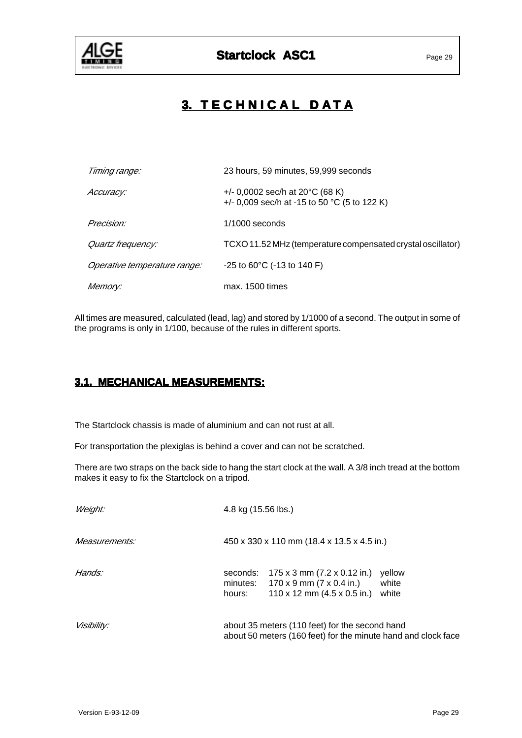

# **3. TECHNICAL DATA**

| Timing range:                | 23 hours, 59 minutes, 59,999 seconds                                                      |
|------------------------------|-------------------------------------------------------------------------------------------|
| Accuracy:                    | +/- 0,0002 sec/h at $20^{\circ}$ C (68 K)<br>+/- 0,009 sec/h at -15 to 50 °C (5 to 122 K) |
| Precision:                   | $1/1000$ seconds                                                                          |
| Quartz frequency:            | TCXO 11.52 MHz (temperature compensated crystal oscillator)                               |
| Operative temperature range: | $-25$ to 60 $^{\circ}$ C (-13 to 140 F)                                                   |
| <i>Memory:</i>               | max. 1500 times                                                                           |

All times are measured, calculated (lead, lag) and stored by 1/1000 of a second. The output in some of the programs is only in 1/100, because of the rules in different sports.

## **3.1. MECHANICAL MEASUREMENTS: 3.1.**

The Startclock chassis is made of aluminium and can not rust at all.

For transportation the plexiglas is behind a cover and can not be scratched.

There are two straps on the back side to hang the start clock at the wall. A 3/8 inch tread at the bottom makes it easy to fix the Startclock on a tripod.

| Weight:            | 4.8 kg (15.56 lbs.)                                                                                                                                                     |  |  |  |
|--------------------|-------------------------------------------------------------------------------------------------------------------------------------------------------------------------|--|--|--|
| Measurements:      | 450 x 330 x 110 mm (18.4 x 13.5 x 4.5 in.)                                                                                                                              |  |  |  |
| Hands:             | 175 x 3 mm (7.2 x 0.12 in.)<br>seconds:<br>vellow<br>minutes: $170 \times 9$ mm (7 x 0.4 in.)<br>white<br>110 x 12 mm $(4.5 \times 0.5 \text{ in.})$<br>white<br>hours: |  |  |  |
| <i>Visibility:</i> | about 35 meters (110 feet) for the second hand<br>about 50 meters (160 feet) for the minute hand and clock face                                                         |  |  |  |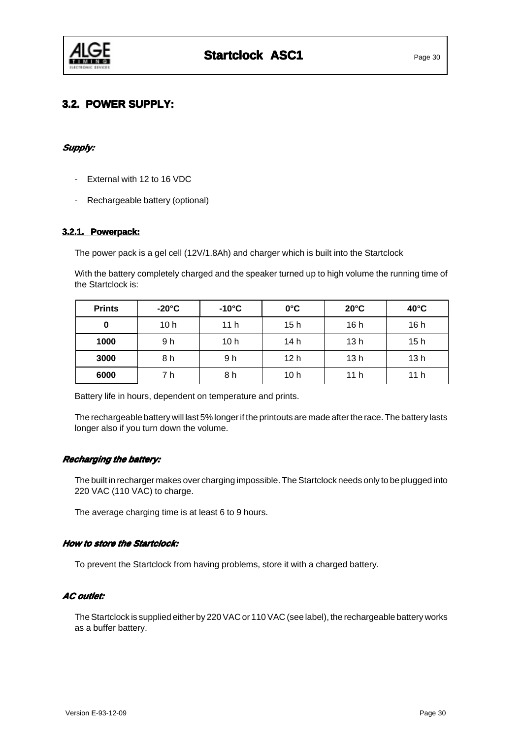

## **3.2. POWER SUPPLY: 3.2. POWER SUPPLY:**

### **Supply: Supply:**

- External with 12 to 16 VDC
- Rechargeable battery (optional)

### **3.2.1. Powerpack: Powerpack:**

The power pack is a gel cell (12V/1.8Ah) and charger which is built into the Startclock

With the battery completely charged and the speaker turned up to high volume the running time of the Startclock is:

| <b>Prints</b> | $-20^{\circ}$ C | $-10^{\circ}$ C | $0^{\circ}$ C   | $20^{\circ}$ C | $40^{\circ}$ C  |
|---------------|-----------------|-----------------|-----------------|----------------|-----------------|
| 0             | 10h             | 11 <sub>h</sub> | 15 h            | 16 h           | 16h             |
| 1000          | 9 h             | 10 <sub>h</sub> | 14 h            | 13 h           | 15h             |
| 3000          | 8 h             | 9 h             | 12 <sub>h</sub> | 13 h           | 13h             |
| 6000          | 7 h             | 8 h             | 10 h            | 11 h           | 11 <sub>h</sub> |

Battery life in hours, dependent on temperature and prints.

The rechargeable battery will last 5% longer if the printouts are made after the race. The battery lasts longer also if you turn down the volume.

#### **Recharging the battery: the battery:**

The built in recharger makes over charging impossible. The Startclock needs only to be plugged into 220 VAC (110 VAC) to charge.

The average charging time is at least 6 to 9 hours.

#### **How to store the Startclock: How the Startclock:**

To prevent the Startclock from having problems, store it with a charged battery.

#### **AC outlet:**

The Startclock is supplied either by 220 VAC or 110 VAC (see label), the rechargeable battery works as a buffer battery.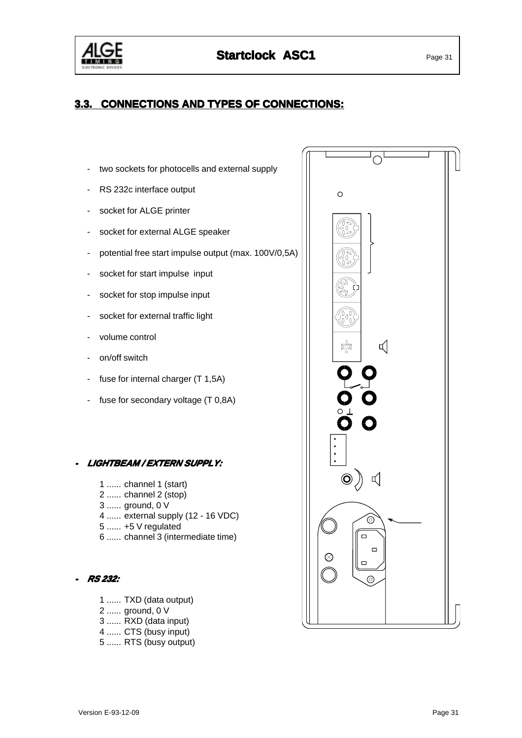

## **3.3. CONNECTIONS AND TYPES OF CONNECTIONS:**

- two sockets for photocells and external supply
- RS 232c interface output
- socket for ALGE printer
- socket for external ALGE speaker
- potential free start impulse output (max. 100V/0,5A)
- socket for start impulse input
- socket for stop impulse input
- socket for external traffic light
- volume control
- on/off switch
- fuse for internal charger (T 1,5A)
- fuse for secondary voltage (T 0,8A)

#### **LIGHTBEAM / EXTERN SUPPLY: LIGHTBEAM**

- 1 ...... channel 1 (start)
- 2 ...... channel 2 (stop)
- 3 ...... ground, 0 V
- 4 ...... external supply (12 16 VDC)
- 5 ...... +5 V regulated
- 6 ...... channel 3 (intermediate time)

#### **RS 232:**

- 1 ...... TXD (data output)
- 2 ...... ground, 0 V
- 3 ...... RXD (data input)
- 4 ...... CTS (busy input)
- 5 ...... RTS (busy output)

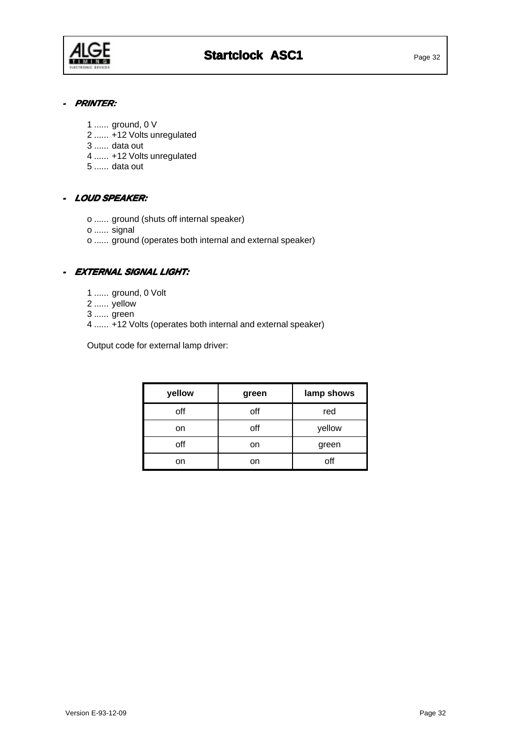

#### **-PRINTER:**

- 1 ...... ground, 0 V
- 2 ...... +12 Volts unregulated
- 3 ...... data out
- 4 ...... +12 Volts unregulated
- 5 ...... data out

#### **- LOUD SPEAKER:**

- o ...... ground (shuts off internal speaker)
- o ...... signal
- o ...... ground (operates both internal and external speaker)

### **- EXTERNAL SIGNAL LIGHT: LIGHT:**

- 1 ...... ground, 0 Volt
- 2 ...... yellow
- 3 ...... green
- 4 ...... +12 Volts (operates both internal and external speaker)

Output code for external lamp driver:

| yellow | green | lamp shows |
|--------|-------|------------|
| off    | off   | red        |
| on     | off   | yellow     |
| off    | on    | green      |
| on     | on    | off        |